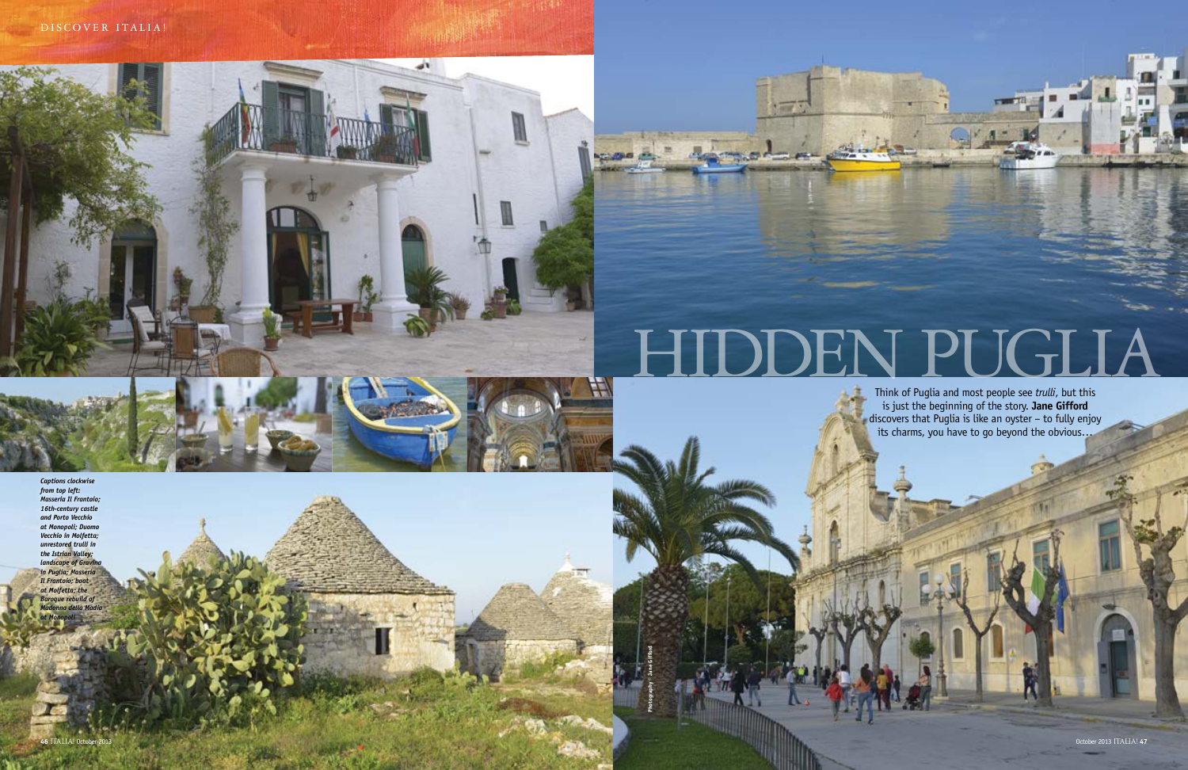أفاصر

# DEN PUGLIA

Think of Puglia and most people see *trulli*, but this is just the beginning of the story. **Jane Gifford**  discovers that Puglia is like an oyster – to fully enjoy its charms, you have to go beyond the obvious…

**Photography © Jane Gifford**

*Captions clockwise from top left: Masseria Il Frantoio; 16th-century castle and Porto Vecchio at Monopoli; Duomo Vecchio in Molfetta; unrestored trulli in the Istrian Valley; landscape of Gravina in Puglia; Masseria Il Frantoio; boat at Molfetta; the Baroque rebuild of Madonna della Madia at Monopoli*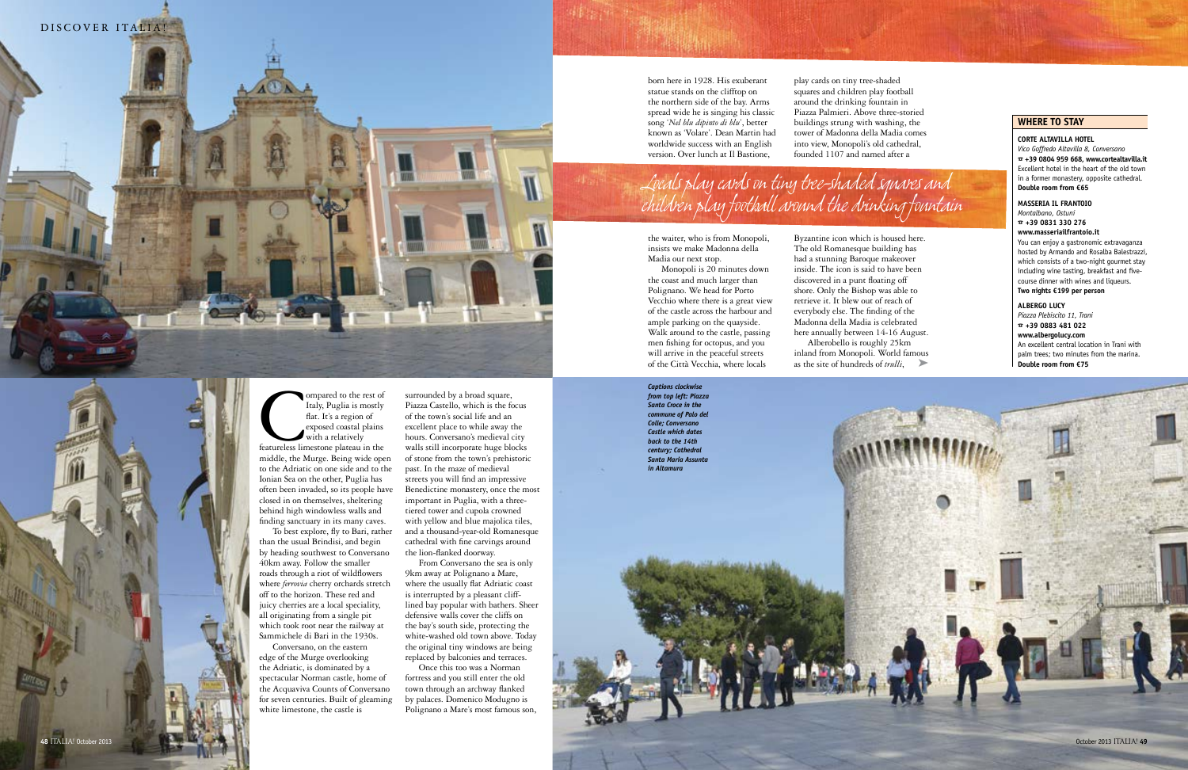born here in 1928. His exuberant statue stands on the clifftop on the northern side of the bay. Arms spread wide he is singing his classic song '*Nel blu dipinto di blu*', better known as ' Volare'. Dean Martin had worldwide success with an English version. Over lunch at Il Bastione,

### the waiter, who is from Monopoli, insists we make Madonna della Madia our next stop.

Byzantine icon which is housed here. The old Romanesque building has had a stunning Baroque makeover inside. The icon is said to have been discovered in a punt floating off shore. Only the Bishop was able to retrieve it. It blew out of reach of everybody else. The finding of the Madonna della Madia is celebrated here annually between 14-16 August. Alberobello is roughly 25km inland from Monopoli. World famous as the site of hundreds of *trulli*,

Monopoli is 20 minutes down the coast and much larger than<br>Polignano. We head for Porto Vecchio where there is a great view of the castle across the harbour and ample parking on the quayside. Walk around to the castle, passing men fishing for octopus, and you will arrive in the peaceful streets of the Città Vecchia, where locals

ompared to the rest of<br>
Italy, Puglia is mostly<br>
flat. It's a region of<br>
exposed coastal plains<br>
featureless limestone plateau in the<br>
state of the state in the<br>
state of the state in the<br>
state of the state of the state o flat. It's a region of exposed coastal plains with a relatively

play cards on tiny tree-shaded squares and children play football around the drinking fountain in Piazza Palmieri. Above three-storied buildings strung with washing, the tower of Madonna della Madia comes into view, Monopoli's old cathedral, founded 1107 and named after a

middle, the Murge. Being wide open to the Adriatic on one side and to the Ionian Sea on the other, Puglia has often been invaded, so its people have closed in on themselves, sheltering behind high windowless walls and finding sanctuary in its many caves. To best explore, fly to Bari, rather than the usual Brindisi, and begin by heading southwest to Conversano 40km away. Follow the smaller roads through a riot of wildflowers where *ferrovia* cherry orchards stretch off to the horizon. These red and juicy cherries are a local speciality, all originating from a single pit

which took root near the railway at Sammichele di Bari in the 1930s. Conversano, on the eastern



white limestone, the castle is

surrounded by a broad square, Piazza Castello, which is the focus of the town's social life and an

excellent place to while away the hours. Conversano's medieval city walls still incorporate huge blocks of stone from the town's prehistoric past. In the maze of medieval streets you will find an impressive Benedictine monastery, once the most important in Puglia, with a threetiered tower and cupola crowned with yellow and blue majolica tiles, and a thousand-year-old Romanesque cathedral with fine carvings around the lion-flanked doorway. From Conversano the sea is only

9km away at Polignano a Mare, where the usually flat Adriatic coast is interrupted by a pleasant clifflined bay popular with bathers. Sheer defensive walls cover the cliffs on the bay's south side, protecting the white-washed old town above. Today the original tiny windows are being replaced by balconies and terraces.

Once this too was a Norman fortress and you still enter the old town through an archway flanked by palaces. Domenico Modugno is Polignano a Mare's most famous son,



## **where to stay**

**Corte altavilla hotel** 

*Vico Goffredo Altavilla 8, Conversano* % **+39 0804 959 668, www.cortealtavilla.it** Excellent hotel in the heart of the old town in a former monastery, opposite cathedral. **Double room from €65**

#### **Masseria il frantoio**

*Montalbano, Ostuni* % **+39 0831 330 276 www.masseriailfrantoio.it** You can enjoy a gastronomic extravaganza

hosted by Armando and Rosalba Balestrazzi, which consists of a two-night gourmet stay including wine tasting, breakfast and fivecourse dinner with wines and liqueurs. **Two nights €199 per person** 

#### **ALBERGO LUCY**

*Piazza Plebiscito 11, Trani* % **+39 0883 481 022 www.albergolucy.com** An excellent central location in Trani with palm trees; two minutes from the marina. **Double room from €75**

*Locals play cards on tiny tree-shaded squares and children play football around the drinking fountain*

*Captions clockwise from top left: Piazza Santa Croce in the commune of Palo del Colle; Conversano Castle which dates back to the 14th century; Cathedral Santa Maria Assunta* 

*in Altamura*